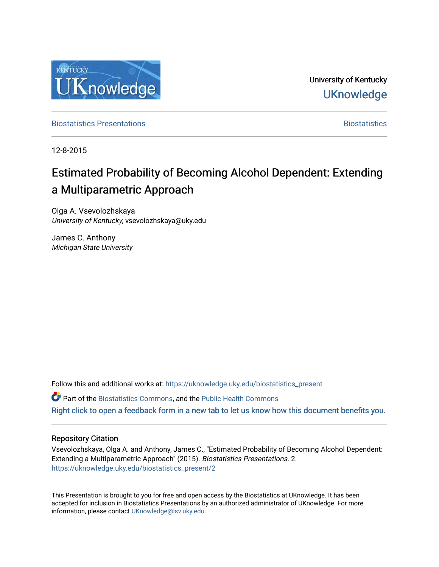

University of Kentucky **UKnowledge** 

[Biostatistics Presentations](https://uknowledge.uky.edu/biostatistics_present) **Biostatistics** [Biostatistics](https://uknowledge.uky.edu/biostatistics) **Biostatistics** 

12-8-2015

#### Estimated Probability of Becoming Alcohol Dependent: Extending a Multiparametric Approach

Olga A. Vsevolozhskaya University of Kentucky, vsevolozhskaya@uky.edu

James C. Anthony Michigan State University

Follow this and additional works at: [https://uknowledge.uky.edu/biostatistics\\_present](https://uknowledge.uky.edu/biostatistics_present?utm_source=uknowledge.uky.edu%2Fbiostatistics_present%2F2&utm_medium=PDF&utm_campaign=PDFCoverPages) 

**C** Part of the [Biostatistics Commons,](http://network.bepress.com/hgg/discipline/210?utm_source=uknowledge.uky.edu%2Fbiostatistics_present%2F2&utm_medium=PDF&utm_campaign=PDFCoverPages) and the Public Health Commons [Right click to open a feedback form in a new tab to let us know how this document benefits you.](https://uky.az1.qualtrics.com/jfe/form/SV_9mq8fx2GnONRfz7)

#### Repository Citation

Vsevolozhskaya, Olga A. and Anthony, James C., "Estimated Probability of Becoming Alcohol Dependent: Extending a Multiparametric Approach" (2015). Biostatistics Presentations. 2. [https://uknowledge.uky.edu/biostatistics\\_present/2](https://uknowledge.uky.edu/biostatistics_present/2?utm_source=uknowledge.uky.edu%2Fbiostatistics_present%2F2&utm_medium=PDF&utm_campaign=PDFCoverPages) 

This Presentation is brought to you for free and open access by the Biostatistics at UKnowledge. It has been accepted for inclusion in Biostatistics Presentations by an authorized administrator of UKnowledge. For more information, please contact [UKnowledge@lsv.uky.edu](mailto:UKnowledge@lsv.uky.edu).